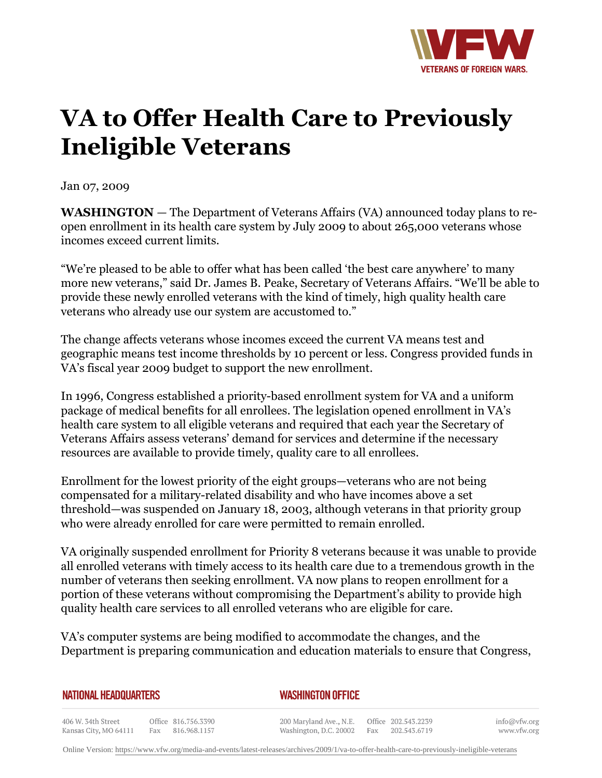

## **VA to Offer Health Care to Previously Ineligible Veterans**

Jan 07, 2009

**WASHINGTON** *—* The Department of Veterans Affairs (VA) announced today plans to reopen enrollment in its health care system by July 2009 to about 265,000 veterans whose incomes exceed current limits.

"We're pleased to be able to offer what has been called 'the best care anywhere' to many more new veterans," said Dr. James B. Peake, Secretary of Veterans Affairs. "We'll be able to provide these newly enrolled veterans with the kind of timely, high quality health care veterans who already use our system are accustomed to."

The change affects veterans whose incomes exceed the current VA means test and geographic means test income thresholds by 10 percent or less. Congress provided funds in VA's fiscal year 2009 budget to support the new enrollment.

In 1996, Congress established a priority-based enrollment system for VA and a uniform package of medical benefits for all enrollees. The legislation opened enrollment in VA's health care system to all eligible veterans and required that each year the Secretary of Veterans Affairs assess veterans' demand for services and determine if the necessary resources are available to provide timely, quality care to all enrollees.

Enrollment for the lowest priority of the eight groups—veterans who are not being compensated for a military-related disability and who have incomes above a set threshold—was suspended on January 18, 2003, although veterans in that priority group who were already enrolled for care were permitted to remain enrolled.

VA originally suspended enrollment for Priority 8 veterans because it was unable to provide all enrolled veterans with timely access to its health care due to a tremendous growth in the number of veterans then seeking enrollment. VA now plans to reopen enrollment for a portion of these veterans without compromising the Department's ability to provide high quality health care services to all enrolled veterans who are eligible for care.

VA's computer systems are being modified to accommodate the changes, and the Department is preparing communication and education materials to ensure that Congress,

| <b>NATIONAL HEADQUARTERS</b> |  |
|------------------------------|--|
|------------------------------|--|

*WASHINGTON OFFICE* 

406 W. 34th Street Office 816.756.3390 Kansas City, MO 64111 Fax 816.968.1157

200 Maryland Ave., N.E. Washington, D.C. 20002 Fax 202.543.6719

Office 202.543.2239

info@vfw.org www.vfw.org

Online Version:<https://www.vfw.org/media-and-events/latest-releases/archives/2009/1/va-to-offer-health-care-to-previously-ineligible-veterans>